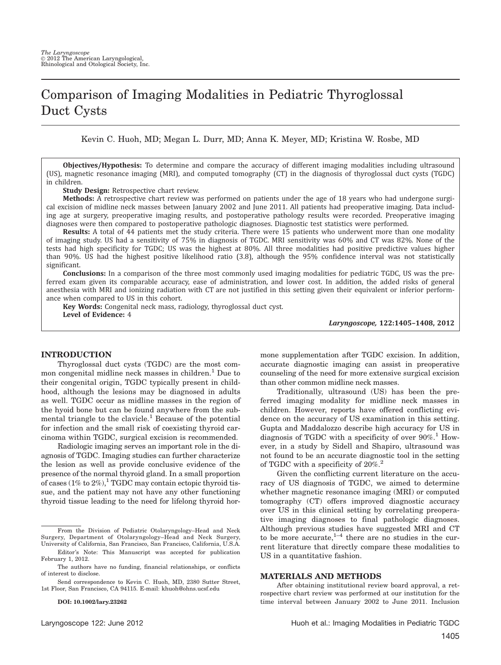# Comparison of Imaging Modalities in Pediatric Thyroglossal Duct Cysts

Kevin C. Huoh, MD; Megan L. Durr, MD; Anna K. Meyer, MD; Kristina W. Rosbe, MD

Objectives/Hypothesis: To determine and compare the accuracy of different imaging modalities including ultrasound (US), magnetic resonance imaging (MRI), and computed tomography (CT) in the diagnosis of thyroglossal duct cysts (TGDC) in children.

Study Design: Retrospective chart review.

Methods: A retrospective chart review was performed on patients under the age of 18 years who had undergone surgical excision of midline neck masses between January 2002 and June 2011. All patients had preoperative imaging. Data including age at surgery, preoperative imaging results, and postoperative pathology results were recorded. Preoperative imaging diagnoses were then compared to postoperative pathologic diagnoses. Diagnostic test statistics were performed.

Results: A total of 44 patients met the study criteria. There were 15 patients who underwent more than one modality of imaging study. US had a sensitivity of 75% in diagnosis of TGDC. MRI sensitivity was 60% and CT was 82%. None of the tests had high specificity for TGDC; US was the highest at 80%. All three modalities had positive predictive values higher than 90%. US had the highest positive likelihood ratio (3.8), although the 95% confidence interval was not statistically significant.

Conclusions: In a comparison of the three most commonly used imaging modalities for pediatric TGDC, US was the preferred exam given its comparable accuracy, ease of administration, and lower cost. In addition, the added risks of general anesthesia with MRI and ionizing radiation with CT are not justified in this setting given their equivalent or inferior performance when compared to US in this cohort.

Key Words: Congenital neck mass, radiology, thyroglossal duct cyst. Level of Evidence: 4

Laryngoscope, 122:1405–1408, 2012

#### INTRODUCTION

Thyroglossal duct cysts (TGDC) are the most common congenital midline neck masses in children.<sup>1</sup> Due to their congenital origin, TGDC typically present in childhood, although the lesions may be diagnosed in adults as well. TGDC occur as midline masses in the region of the hyoid bone but can be found anywhere from the submental triangle to the clavicle.<sup>1</sup> Because of the potential for infection and the small risk of coexisting thyroid carcinoma within TGDC, surgical excision is recommended.

Radiologic imaging serves an important role in the diagnosis of TGDC. Imaging studies can further characterize the lesion as well as provide conclusive evidence of the presence of the normal thyroid gland. In a small proportion of cases (1% to 2%),<sup>1</sup> TGDC may contain ectopic thyroid tissue, and the patient may not have any other functioning thyroid tissue leading to the need for lifelong thyroid hor-

From the Division of Pediatric Otolaryngology–Head and Neck Surgery, Department of Otolaryngology–Head and Neck Surgery, University of California, San Francisco, San Francisco, California, U.S.A.

Editor's Note: This Manuscript was accepted for publication February 1, 2012.

The authors have no funding, financial relationships, or conflicts of interest to disclose.

Send correspondence to Kevin C. Huoh, MD, 2380 Sutter Street, 1st Floor, San Francisco, CA 94115. E-mail: khuoh@ohns.ucsf.edu

DOI: 10.1002/lary.23262

mone supplementation after TGDC excision. In addition, accurate diagnostic imaging can assist in preoperative counseling of the need for more extensive surgical excision than other common midline neck masses.

Traditionally, ultrasound (US) has been the preferred imaging modality for midline neck masses in children. However, reports have offered conflicting evidence on the accuracy of US examination in this setting. Gupta and Maddalozzo describe high accuracy for US in diagnosis of TGDC with a specificity of over  $90\%$ .<sup>1</sup> However, in a study by Sidell and Shapiro, ultrasound was not found to be an accurate diagnostic tool in the setting of TGDC with a specificity of 20%.<sup>2</sup>

Given the conflicting current literature on the accuracy of US diagnosis of TGDC, we aimed to determine whether magnetic resonance imaging (MRI) or computed tomography (CT) offers improved diagnostic accuracy over US in this clinical setting by correlating preoperative imaging diagnoses to final pathologic diagnoses. Although previous studies have suggested MRI and CT to be more accurate, $1-4$  there are no studies in the current literature that directly compare these modalities to US in a quantitative fashion.

#### MATERIALS AND METHODS

After obtaining institutional review board approval, a retrospective chart review was performed at our institution for the time interval between January 2002 to June 2011. Inclusion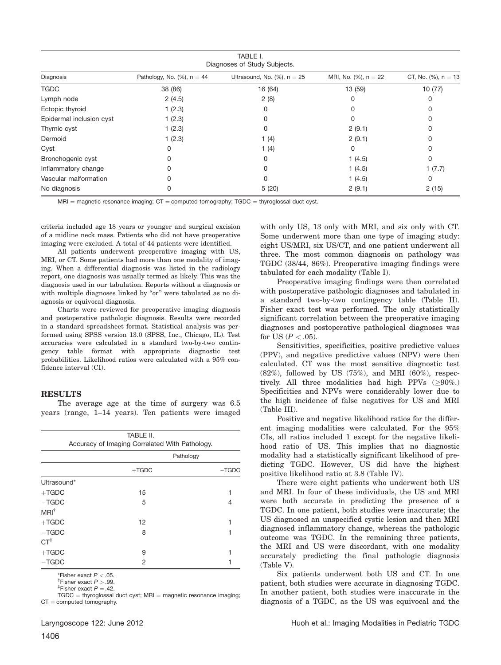| TABLE I.<br>Diagnoses of Study Subjects. |                                |                                 |                          |                         |
|------------------------------------------|--------------------------------|---------------------------------|--------------------------|-------------------------|
| Diagnosis                                | Pathology, No. $(\%)$ , n = 44 | Ultrasound, No. $(\%)$ , n = 25 | MRI, No. $(\%)$ , n = 22 | CT, No. $(\%)$ , n = 13 |
| <b>TGDC</b>                              | 38 (86)                        | 16 (64)                         | 13 (59)                  | 10(77)                  |
| Lymph node                               | 2(4.5)                         | 2(8)                            | 0                        | O                       |
| Ectopic thyroid                          | 1(2.3)                         | 0                               | 0                        | ი                       |
| Epidermal inclusion cyst                 | 1(2.3)                         |                                 | O                        |                         |
| Thymic cyst                              | 1(2.3)                         | 0                               | 2(9.1)                   | Ω                       |
| Dermoid                                  | 1(2.3)                         | 1(4)                            | 2(9.1)                   |                         |
| Cyst                                     |                                | 1(4)                            | 0                        |                         |
| Bronchogenic cyst                        |                                | 0                               | 1(4.5)                   | 0                       |
| Inflammatory change                      |                                |                                 | 1(4.5)                   | 1(7.7)                  |
| Vascular malformation                    |                                | 0                               | 1(4.5)                   | 0                       |
| No diagnosis                             | 0                              | 5(20)                           | 2(9.1)                   | 2(15)                   |

 $MRI =$  magnetic resonance imaging;  $CT =$  computed tomography; TGDC = thyroglossal duct cyst.

criteria included age 18 years or younger and surgical excision of a midline neck mass. Patients who did not have preoperative imaging were excluded. A total of 44 patients were identified.

All patients underwent preoperative imaging with US, MRI, or CT. Some patients had more than one modality of imaging. When a differential diagnosis was listed in the radiology report, one diagnosis was usually termed as likely. This was the diagnosis used in our tabulation. Reports without a diagnosis or with multiple diagnoses linked by "or" were tabulated as no diagnosis or equivocal diagnosis.

Charts were reviewed for preoperative imaging diagnosis and postoperative pathologic diagnosis. Results were recorded in a standard spreadsheet format. Statistical analysis was performed using SPSS version 13.0 (SPSS, Inc., Chicago, IL). Test accuracies were calculated in a standard two-by-two contingency table format with appropriate diagnostic test probabilities. Likelihood ratios were calculated with a 95% confidence interval (CI).

#### RESULTS

The average age at the time of surgery was 6.5 years (range, 1–14 years). Ten patients were imaged

|                 | TABLE II.                                      |           |  |  |
|-----------------|------------------------------------------------|-----------|--|--|
|                 | Accuracy of Imaging Correlated With Pathology. |           |  |  |
|                 |                                                | Pathology |  |  |
|                 | $+TGDC$                                        | $-TGDC$   |  |  |
| Ultrasound*     |                                                |           |  |  |
| $+TGDC$         | 15                                             |           |  |  |
| $-TGDC$         | 5                                              | 4         |  |  |
| $MRI^{\dagger}$ |                                                |           |  |  |
| $+TGDC$         | 12                                             |           |  |  |
| $-TGDC$         | 8                                              |           |  |  |
| $CT^{\ddagger}$ |                                                |           |  |  |
| $+TGDC$         | 9                                              |           |  |  |
| $-TGDC$         | 2                                              |           |  |  |
|                 |                                                |           |  |  |

\*Fisher exact  $P < .05$ .<br><sup>†</sup>Fisher exact  $P > .99$ .

<sup>T</sup>Fisher exact *P*  $> .99$ .<br><sup>‡</sup>Fisher exact *P =* .42.

 $TGDC =$  thyroglossal duct cyst; MRI = magnetic resonance imaging;  $CT =$  computed tomography.

with only US, 13 only with MRI, and six only with CT. Some underwent more than one type of imaging study: eight US/MRI, six US/CT, and one patient underwent all three. The most common diagnosis on pathology was TGDC (38/44, 86%). Preoperative imaging findings were tabulated for each modality (Table I).

Preoperative imaging findings were then correlated with postoperative pathologic diagnoses and tabulated in a standard two-by-two contingency table (Table II). Fisher exact test was performed. The only statistically significant correlation between the preoperative imaging diagnoses and postoperative pathological diagnoses was for US  $(P < .05)$ .

Sensitivities, specificities, positive predictive values (PPV), and negative predictive values (NPV) were then calculated. CT was the most sensitive diagnostic test (82%), followed by US (75%), and MRI (60%), respectively. All three modalities had high PPVs  $(≥90\%).$ Specificities and NPVs were considerably lower due to the high incidence of false negatives for US and MRI (Table III).

Positive and negative likelihood ratios for the different imaging modalities were calculated. For the 95% CIs, all ratios included 1 except for the negative likelihood ratio of US. This implies that no diagnostic modality had a statistically significant likelihood of predicting TGDC. However, US did have the highest positive likelihood ratio at 3.8 (Table IV).

There were eight patients who underwent both US and MRI. In four of these individuals, the US and MRI were both accurate in predicting the presence of a TGDC. In one patient, both studies were inaccurate; the US diagnosed an unspecified cystic lesion and then MRI diagnosed inflammatory change, whereas the pathologic outcome was TGDC. In the remaining three patients, the MRI and US were discordant, with one modality accurately predicting the final pathologic diagnosis (Table V).

Six patients underwent both US and CT. In one patient, both studies were accurate in diagnosing TGDC. In another patient, both studies were inaccurate in the diagnosis of a TGDC, as the US was equivocal and the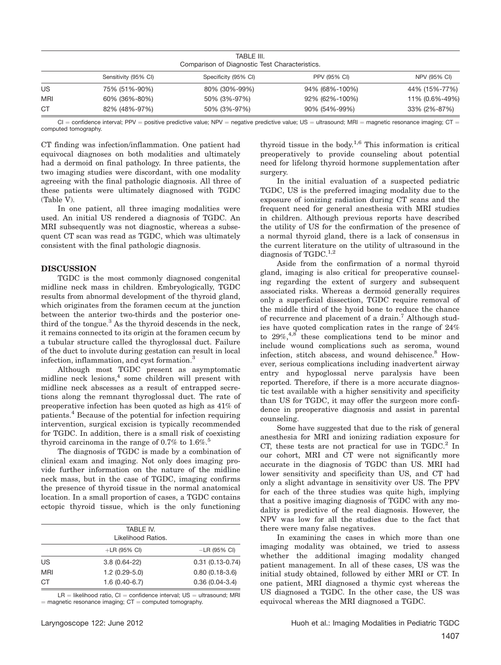|            | TABLE III.<br>Comparison of Diagnostic Test Characteristics. |                      |                     |                |
|------------|--------------------------------------------------------------|----------------------|---------------------|----------------|
|            | Sensitivity (95% CI)                                         | Specificity (95% CI) | <b>PPV (95% CI)</b> | NPV (95% CI)   |
| US         | 75% (51%-90%)                                                | 80% (30%-99%)        | 94% (68%-100%)      | 44% (15%-77%)  |
| <b>MRI</b> | 60% (36%-80%)                                                | 50% (3%-97%)         | 92% (62%-100%)      | 11% (0.6%-49%) |
| <b>CT</b>  | 82% (48%-97%)                                                | 50% (3%-97%)         | 90% (54%-99%)       | 33% (2%-87%)   |

CI = confidence interval; PPV = positive predictive value; NPV = negative predictive value; US = ultrasound; MRI = magnetic resonance imaging; CT = computed tomography.

CT finding was infection/inflammation. One patient had equivocal diagnoses on both modalities and ultimately had a dermoid on final pathology. In three patients, the two imaging studies were discordant, with one modality agreeing with the final pathologic diagnosis. All three of these patients were ultimately diagnosed with TGDC (Table V).

In one patient, all three imaging modalities were used. An initial US rendered a diagnosis of TGDC. An MRI subsequently was not diagnostic, whereas a subsequent CT scan was read as TGDC, which was ultimately consistent with the final pathologic diagnosis.

### DISCUSSION

TGDC is the most commonly diagnosed congenital midline neck mass in children. Embryologically, TGDC results from abnormal development of the thyroid gland, which originates from the foramen cecum at the junction between the anterior two-thirds and the posterior onethird of the tongue.<sup>3</sup> As the thyroid descends in the neck, it remains connected to its origin at the foramen cecum by a tubular structure called the thyroglossal duct. Failure of the duct to involute during gestation can result in local infection, inflammation, and cyst formation.<sup>3</sup>

Although most TGDC present as asymptomatic midline neck lesions,<sup>4</sup> some children will present with midline neck abscesses as a result of entrapped secretions along the remnant thyroglossal duct. The rate of preoperative infection has been quoted as high as 41% of patients.4 Because of the potential for infection requiring intervention, surgical excision is typically recommended for TGDC. In addition, there is a small risk of coexisting thyroid carcinoma in the range of 0.7% to  $1.6\%$ .<sup>5</sup>

The diagnosis of TGDC is made by a combination of clinical exam and imaging. Not only does imaging provide further information on the nature of the midline neck mass, but in the case of TGDC, imaging confirms the presence of thyroid tissue in the normal anatomical location. In a small proportion of cases, a TGDC contains ectopic thyroid tissue, which is the only functioning

|            | TABLE IV.<br>Likelihood Ratios. |                     |
|------------|---------------------------------|---------------------|
|            | $+LR$ (95% CI)                  | $-LR$ (95% CI)      |
| US         | $3.8(0.64 - 22)$                | $0.31(0.13 - 0.74)$ |
| <b>MRI</b> | $1.2(0.29-5.0)$                 | $0.80(0.18-3.6)$    |
| <b>CT</b>  | $1.6(0.40-6.7)$                 | $0.36(0.04-3.4)$    |

 $LR =$  likelihood ratio,  $Cl =$  confidence interval;  $US =$  ultrasound; MRI  $=$  magnetic resonance imaging;  $CT =$  computed tomography.

thyroid tissue in the body. $1,6$  This information is critical preoperatively to provide counseling about potential need for lifelong thyroid hormone supplementation after surgery.

In the initial evaluation of a suspected pediatric TGDC, US is the preferred imaging modality due to the exposure of ionizing radiation during CT scans and the frequent need for general anesthesia with MRI studies in children. Although previous reports have described the utility of US for the confirmation of the presence of a normal thyroid gland, there is a lack of consensus in the current literature on the utility of ultrasound in the diagnosis of TGDC.<sup>1,2</sup>

Aside from the confirmation of a normal thyroid gland, imaging is also critical for preoperative counseling regarding the extent of surgery and subsequent associated risks. Whereas a dermoid generally requires only a superficial dissection, TGDC require removal of the middle third of the hyoid bone to reduce the chance of recurrence and placement of a drain.<sup>7</sup> Although studies have quoted complication rates in the range of 24% to  $29\%,^{4,8}$  these complications tend to be minor and include wound complications such as seroma, wound infection, stitch abscess, and wound dehiscence.<sup>8</sup> However, serious complications including inadvertent airway entry and hypoglossal nerve paralysis have been reported. Therefore, if there is a more accurate diagnostic test available with a higher sensitivity and specificity than US for TGDC, it may offer the surgeon more confidence in preoperative diagnosis and assist in parental counseling.

Some have suggested that due to the risk of general anesthesia for MRI and ionizing radiation exposure for CT, these tests are not practical for use in  $TGDC<sup>2</sup>$  In our cohort, MRI and CT were not significantly more accurate in the diagnosis of TGDC than US. MRI had lower sensitivity and specificity than US, and CT had only a slight advantage in sensitivity over US. The PPV for each of the three studies was quite high, implying that a positive imaging diagnosis of TGDC with any modality is predictive of the real diagnosis. However, the NPV was low for all the studies due to the fact that there were many false negatives.

In examining the cases in which more than one imaging modality was obtained, we tried to assess whether the additional imaging modality changed patient management. In all of these cases, US was the initial study obtained, followed by either MRI or CT. In one patient, MRI diagnosed a thymic cyst whereas the US diagnosed a TGDC. In the other case, the US was equivocal whereas the MRI diagnosed a TGDC.